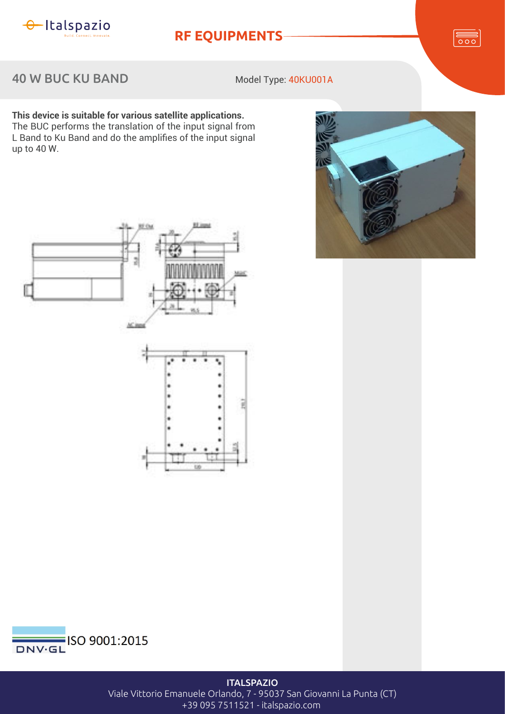

**RF EQUIPMENTS**

 $rac{1}{\sqrt{1-\frac{1}{2}}}$ 

40 W BUC KU BAND

Model Type: 40KU001A

**This device is suitable for various satellite applications.** The BUC performs the translation of the input signal from L Band to Ku Band and do the amplifies of the input signal up to  $40$  W.







**ITALSPAZIO** 

Viale Vittorio Emanuele Orlando, 7 - 95037 San Giovanni La Punta (CT)

+39 095 7511521 - italspazio.com